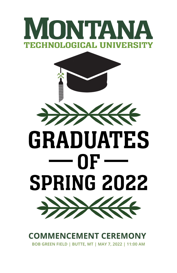



**COMMENCEMENT CEREMONY BOB GREEN FIELD | BUTTE, MT | MAY 7, 2022 | 11:00 AM**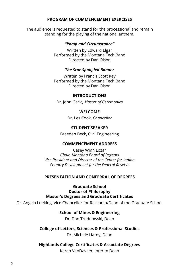#### **PROGRAM OF COMMENCEMENT EXERCISES**

The audience is requested to stand for the processional and remain standing for the playing of the national anthem.

#### *"Pomp and Circumstance"*

Written by Edward Elgar Performed by the Montana Tech Band Directed by Dan Olson

#### *The Star-Spangled Banner*

Written by Francis Scott Key Performed by the Montana Tech Band Directed by Dan Olson

#### **INTRODUCTIONS**

Dr. John Garic, *Master of Ceremonies*

#### **WELCOME**

Dr. Les Cook, *Chancellor*

#### **STUDENT SPEAKER**

Braeden Beck, Civil Engineering

#### **COMMENCEMENT ADDRESS**

Casey Winn Lozar *Chair, Montana Board of Regents Vice President and Director of the Center for Indian Country Development for the Federal Reserve*

#### **PRESENTATION AND CONFERRAL OF DEGREES**

**Graduate School Doctor of Philosophy Master's Degrees and Graduate Certificates**

Dr. Angela Lueking, Vice Chancellor for Research/Dean of the Graduate School

#### **School of Mines & Engineering**

Dr. Dan Trudnowski, Dean

#### **College of Letters, Sciences & Professional Studies**

Dr. Michele Hardy, Dean

#### **Highlands College Certificates & Associate Degrees**

Karen VanDaveer, Interim Dean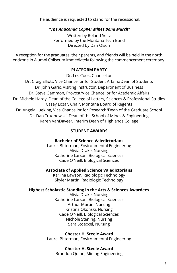The audience is requested to stand for the recessional.

#### *"The Anaconda Copper Mines Band March"*

Written by Roland Seitz Performed by the Montana Tech Band Directed by Dan Olson

A reception for the graduates, their parents, and friends will be held in the north endzone in Alumni Coliseum immediately following the commencement ceremony.

#### **PLATFORM PARTY**

Dr. Les Cook, Chancellor

Dr. Craig Elliott, Vice Chancellor for Student Affairs/Dean of Students Dr. John Garic, Visiting Instructor, Department of Business Dr. Steve Gammon, Provost/Vice Chancellor for Academic Affairs Dr. Michele Hardy, Dean of the College of Letters, Sciences & Professional Studies Casey Lozar, Chair, Montana Board of Regents Dr. Angela Lueking, Vice Chancellor for Research/Dean of the Graduate School Dr. Dan Trudnowski, Dean of the School of Mines & Engineering Karen VanDaveer, Interim Dean of Highlands College

#### **STUDENT AWARDS**

#### **Bachelor of Science Valedictorians**

Laurel Bitterman, Environmental Engineering Alivia Drake, Nursing Katherine Larson, Biological Sciences Cade O'Neill, Biological Sciences

#### **Associate of Applied Science Valedictorians**

Karlina Lawson, Radiologic Technology Skyler Martin, Radiologic Technology

#### **Highest Scholastic Standing in the Arts & Sciences Awardees**

Alivia Drake, Nursing Katherine Larson, Biological Sciences Arthur Martin, Nursing Kristina Okonski, Nursing Cade O'Neill, Biological Sciences Nichole Sterling, Nursing Sara Stoeckel, Nursing

**Chester H. Steele Award** Laurel Bitterman, Environmental Engineering

#### **Chester H. Steele Award** Brandon Quinn, Mining Engineering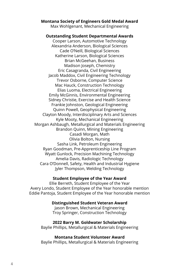#### **Montana Society of Engineers Gold Medal Award**

Max Wohlgenant, Mechanical Engineering

#### **Outstanding Student Departmental Awards**

Cooper Larson, Automotive Technology Alexandria Anderson, Biological Sciences Cade O'Neill, Biological Sciences Katherine Larson, Biological Sciences Brian McGeehan, Business Madison Joseph, Chemistry Eric Casagranda, Civil Engineering Jacob Maddox, Civil Engineering Technology Trevor Osborne, Computer Science Mac Hauck, Construction Technology Elias Luoma, Electrical Engineering Emily McGinnis, Environmental Engineering Sidney Christie, Exercise and Health Science Frankie Johnston, Geological Engineering Quinn Powell, Geophysical Engineering Clayton Moody, Interdisciplinary Arts and Sciences Kyle Mooty, Mechanical Engineering Morgan Ashbaugh, Metallurgical and Materials Engineering Brandon Quinn, Mining Engineering Casadi Morgan, Math Olivia Bolton, Nursing Sasha Link, Petroleum Engineering Ryan Goodman, Pre-Apprenticeship Line Program Wyatt Gunlock, Precision Machining Technology Amelia Davis, Radiologic Technology Cara O'Donnell, Safety, Health and Industrial Hygiene Jyler Thompson, Welding Technology

#### **Student Employee of the Year Award**

Ellie Berreth, Student Employee of the Year Avery Londo, Student Employee of the Year honorable mention Eddie Pantoja, Student Employee of the Year honorable mention

#### **Distinguished Student Veteran Award**

Jason Brown, Mechanical Engineering Troy Springer, Construction Technology

#### **2022 Barry M. Goldwater Scholarship**

Baylie Phillips, Metallurgical & Materials Engineering

#### **Montana Student Volunteer Award**

Baylie Phillips, Metallurgical & Materials Engineering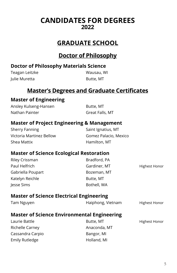## **CANDIDATES FOR DEGREES 2022**

## **GRADUATE SCHOOL**

## **Doctor of Philosophy**

#### **Doctor of Philosophy Materials Science**

| Teagan Leitzke | Wausau, Wl |
|----------------|------------|
| Julie Muretta  | Butte, MT  |

## **Master's Degrees and Graduate Certificates**

## **Master of Engineering**

Ansley Kulseng-Hansen Butte, MT Nathan Painter Great Falls, MT

#### **Master of Project Engineering & Management**

Sherry Fanning Sherry Fanning Saint Ignatius, MT Victoria Martinez Bellow Gomez Palacio, Mexico Shea Mattix **Exercise Shea Mattix** Hamilton, MT

## **Master of Science Ecological Restoration**

| Bradford, PA |               |
|--------------|---------------|
| Gardiner, MT | Highest Honor |
| Bozeman, MT  |               |
| Butte, MT    |               |
| Bothell, WA  |               |
|              |               |

#### **Master of Science Electrical Engineering**

| Tam Nguyen | Haiphong, Vietnam | <b>Highest Honor</b> |
|------------|-------------------|----------------------|
|            |                   |                      |

## **Master of Science Environmental Engineering**

| Laurie Battle    |
|------------------|
| Richelle Carney  |
| Cassandra Carpio |
| Emily Rutledge   |

Anaconda, MT Bangor, MI Ige **Emily Rutler Rutler** Holland, MI

Butte, MT Highest Honor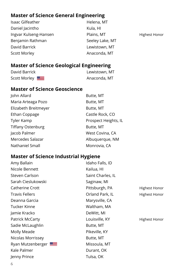## **Master of Science General Engineering**

| Isaac Gilfeather      | Helena, MT      |                      |
|-----------------------|-----------------|----------------------|
| Daniel Jacintho       | Kula, HI        |                      |
| Ingvar Kulseng-Hansen | Plains, MT      | <b>Highest Honor</b> |
| Benjamin Rathman      | Seeley Lake, MT |                      |
| David Barrick         | Lewistown, MT   |                      |
| Scott Morley          | Anaconda, MT    |                      |

## **Master of Science Geological Engineering**

| David Barrick | Lewistown, MT |
|---------------|---------------|
| Scott Morley  | Anaconda, MT  |

#### **Master of Science Geoscience**

| Butte, MT            |
|----------------------|
| Butte, MT            |
| Butte, MT            |
| Castle Rock, CO      |
| Prospect Heights, IL |
| Butte, MT            |
| West Covina, CA      |
| Albuquerque, NM      |
| Monrovia, CA         |
|                      |

## **Master of Science Industrial Hygiene**

| Amy Ballain           | Idaho Falls, ID   |               |
|-----------------------|-------------------|---------------|
| Nicole Bennett        | Kailua, HI        |               |
| Steven Carlson        | Saint Charles, IL |               |
| Sarah Cieslukowski    | Saginaw, MI       |               |
| Catherine Crott       | Pittsburgh, PA    | Highest Honor |
| <b>Travis Fellers</b> | Orland Park, IL   | Highest Honor |
| Deanna Garcia         | Marysville, CA    |               |
| Tucker Kinne          | Waltham, MA       |               |
| Jamie Kracko          | DeWitt, MI        |               |
| Patrick McCarty       | Louisville, KY    | Highest Honor |
| Sadie McLaughlin      | Butte, MT         |               |
| Molly Meade           | Pikeville, KY     |               |
| Nicolas Morrissey     | Butte, MT         |               |
| Ryan Mutzenberger     | Missoula, MT      |               |
| Kale Palmer           | Durant, OK        |               |
| Jenny Prince          | Tulsa, OK         |               |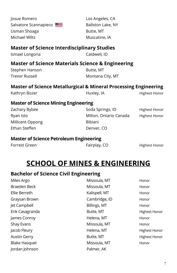| Josue Romero                                                                | Los Angeles, CA        |                      |  |
|-----------------------------------------------------------------------------|------------------------|----------------------|--|
| Salvatore Scannapieco                                                       | Ballston Lake, NY      |                      |  |
| Usman Shoaga                                                                | Butte, MT              |                      |  |
| <b>Michael Wilts</b>                                                        | Muscatine, IA          |                      |  |
| <b>Master of Science Interdisciplinary Studies</b>                          |                        |                      |  |
| Ismael Longoria                                                             | Caldwell, ID           |                      |  |
| <b>Master of Science Materials Science &amp; Engineering</b>                |                        |                      |  |
| Stephen Hanson                                                              | Butte, MT              |                      |  |
| <b>Trevor Russell</b>                                                       | Montana City, MT       |                      |  |
| <b>Master of Science Metallurgical &amp; Mineral Processing Engineering</b> |                        |                      |  |
| Kathryn Bozer                                                               | Huxley, IA             | Highest Honor        |  |
| <b>Master of Science Mining Engineering</b>                                 |                        |                      |  |
| Zachary Bybee                                                               | Soda Springs, ID       | <b>Highest Honor</b> |  |
| Ryan Isto                                                                   | Milton, Ontario Canada | <b>Highest Honor</b> |  |
| Millicent Oppong                                                            | Bibiani                |                      |  |
| Ethan Steffen                                                               | Denver, CO             |                      |  |
| <b>Master of Science Petroleum Engineering</b>                              |                        |                      |  |
| Forrest Green                                                               | Fairplay, CO           | Highest Honor        |  |
|                                                                             |                        |                      |  |
| <b>SCHOOL OF MINES &amp; ENGINEERING</b>                                    |                        |                      |  |
| <b>Bachelor of Science Civil Engineering</b>                                |                        |                      |  |
| Miles Argo                                                                  | Missoula, MT           | Honor                |  |
| <b>Braeden Beck</b>                                                         | Missoula, MT           | Honor                |  |
| Ellia Barcard                                                               |                        |                      |  |

| Miles Argo           | Missoula, MT  | Honor                |
|----------------------|---------------|----------------------|
| Braeden Beck         | Missoula, MT  | Honor                |
| Ellie Berreth        | Kalispell, MT | Honor                |
| Graysan Brown        | Cambridge, ID | Honor                |
| Jet Campbell         | Billings, MT  | Honor                |
| Erik Casagranda      | Butte, MT     | <b>Highest Honor</b> |
| James Conroy         | Helena, MT    | Honor                |
| <b>Shay Evans</b>    | Missoula, MT  | Honor                |
| Jacob Fleury         | Helena, MT    | <b>Highest Honor</b> |
| <b>Austin Gerry</b>  | Butte, MT     | <b>Highest Honor</b> |
| <b>Blake Hasquet</b> | Missoula, MT  | Honor                |
| Jordan Johnson       | Palmer, AK    |                      |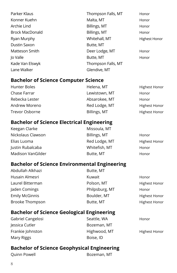| Parker Klaus           | Thompson Falls, MT | Honor                |
|------------------------|--------------------|----------------------|
| Konner Kuehn           | Malta, MT          | Honor                |
| Archie Lind            | Billings, MT       | Honor                |
| <b>Brock MacDonald</b> | Billings, MT       | Honor                |
| Ryan Murphy            | Whitehall, MT      | <b>Highest Honor</b> |
| Dustin Saxon           | Butte, MT          |                      |
| Matteson Smith         | Deer Lodge, MT     | Honor                |
| lo Valle               | Butte, MT          | Honor                |
| Kade Van Elswyk        | Thompson Falls, MT |                      |
| Lane Walker            | Glendive, MT       |                      |

#### **Bachelor of Science Computer Science**

| Hunter Boles   | Helena, MT    | <b>Highest Honor</b> |
|----------------|---------------|----------------------|
| Chase Farrar   | Lewistown, MT | Honor                |
| Rebecka Lester | Absarokee, MT | Honor                |
| Andrew Moreno  | Red Lodge, MT | <b>Highest Honor</b> |
| Trevor Osborne | Billings, MT  | <b>Highest Honor</b> |

## **Bachelor of Science Electrical Engineering**

| Keegan Clarke     | Missoula, MT  |                      |
|-------------------|---------------|----------------------|
| Nickolaus Clawson | Billings, MT  | Honor                |
| Elias Luoma       | Red Lodge, MT | <b>Highest Honor</b> |
| Justin Rubalcaba  | Whitefish, MT | Honor                |
| Madison VanGilder | Butte, MT     | Honor                |

#### **Bachelor of Science Environmental Engineering**

Abdullah Alkhazi **Butte, MT** Husain Almesri **Kuwait** Kuwait Honor Laurel Bitterman **Exercise Server Accord Polson, MT** Highest Honor Jaden Comings **Accord Philpsburg, MT** Honor Emily McGinnis **Boulder, MT** Highest Honor Brooke Thompson **Butte, MT** Butte, MT Highest Honor

## **Bachelor of Science Geological Engineering**

Gabriel Cangelosi Seattle, WA Honor Jessica Cutler **Bozeman**, MT Frankie Johnston **Highwood, MT** Highest Honor Mary Riggs **Boise**, ID

## **Bachelor of Science Geophysical Engineering**

Quinn Powell **Bozeman**, MT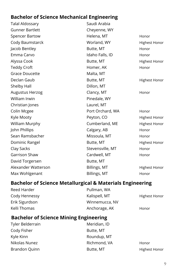## **Bachelor of Science Mechanical Engineering**

| <b>Talal Aldossary</b> | Saudi Arabia     |                      |
|------------------------|------------------|----------------------|
| <b>Gunner Bartlett</b> | Cheyenne, WY     |                      |
| <b>Spencer Bartow</b>  | Helena, MT       | Honor                |
| Cody Baumstarck        | Worland, WY      | <b>Highest Honor</b> |
| Jacob Bentley          | Butte, MT        | Honor                |
| Emma Carvo             | Idaho Falls, ID  | Honor                |
| Alyssa Cook            | Butte, MT        | <b>Highest Honor</b> |
| <b>Teddy Croft</b>     | Homer, AK        | Honor                |
| <b>Grace Doucette</b>  | Malta, MT        |                      |
| Declan Gaub            | Butte, MT        | <b>Highest Honor</b> |
| Shelby Hall            | Dillon, MT       |                      |
| Augustus Herzog        | Clancy, MT       | Honor                |
| William Irwin          | Pinedale, WY     |                      |
| Christian Jones        | Laurel, MT       |                      |
| Colin Mcgee            | Port Orchard, WA | Honor                |
| Kyle Mooty             | Peyton, CO       | Highest Honor        |
| William Murphy         | Cumberland, ME   | <b>Highest Honor</b> |
| John Phillips          | Calgary, AB      | Honor                |
| Sean Ramsbacher        | Missoula, MT     | Honor                |
| Dominic Rangel         | Butte, MT        | <b>Highest Honor</b> |
| Clay Sacks             | Stevensville, MT | Honor                |
| Garrison Shaw          | Cardwell, MT     | Honor                |
| David Torgersen        | Butte, MT        |                      |
| Alexander Watterson    | Billings, MT     | <b>Highest Honor</b> |
| Max Wohlgenant         | Billings, MT     | Honor                |
|                        |                  |                      |

## **Bachelor of Science Metallurgical & Materials Engineering**

| Reed Harder    | Pullman, WA    |                      |
|----------------|----------------|----------------------|
| Cody Hennessy  | Kalispell, MT  | <b>Highest Honor</b> |
| Erik Sigurdson | Winnemucca, NV |                      |
| Kelli Thomas   | Anchorage, AK  | Honor                |

## **Bachelor of Science Mining Engineering**

| Tyler Belderrain | Meridian, ID |                      |
|------------------|--------------|----------------------|
| Cody Fisher      | Butte, MT    |                      |
| Kyle Kinn        | Roundup, MT  |                      |
| Nikolas Nunez    | Richmond, VA | Honor                |
| Brandon Quinn    | Butte, MT    | <b>Highest Honor</b> |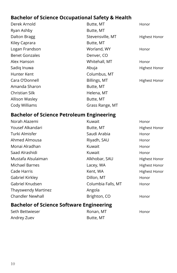## **Bachelor of Science Occupational Safety & Health**

Ryan Ashby **Butte, MT** Kiley Caprara **Butte, MT** Benet Gonzales **Denver, CO** Hunter Kent Columbus, MT Amanda Sharon **Butte, MT** Christian Silk **Helena**, MT Allison Wasley **Butte, MT** Cody Williams Grass Range, MT

Derek Arnold **Butte, MT Butte, MT Honor** Dalton Bragg Stevensville, MT Highest Honor Logan Frandson North Worland, WY Honor Alex Hanson **Mullet Communist Communist Communist Communist Communist Communist Communist Communist Communist Communist Communist Communist Communist Communist Communist Communist Communist Communist Communist Communist Co** Sadiq Inuwa **Abuja** Abuja Highest Honor Cara O'Donnell **Billings, MT** Highest Honor

#### **Bachelor of Science Petroleum Engineering**

| Norah Alazemi           | Kuwait             | Honor                |
|-------------------------|--------------------|----------------------|
| Yousef Alkandari        | Butte, MT          | <b>Highest Honor</b> |
| Turki Almisfer          | Saudi Arabia       | Honor                |
| Ahmed Almousa           | Riyadh, SAU        | Honor                |
| Monai Alradhan          | Kuwait             | Honor                |
| Saad Alrashidi          | Kuwait             | Honor                |
| Mustafa Alsulaiman      | Alkhobar, SAU      | <b>Highest Honor</b> |
| Michael Barnes          | Lacey, WA          | <b>Highest Honor</b> |
| Cade Harris             | Kent, WA           | <b>Highest Honor</b> |
| Gabriel Kirkley         | Dillon, MT         | Honor                |
| Gabriel Knudsen         | Columbia Falls, MT | Honor                |
| Thayswendy Martinez     | Angola             |                      |
| <b>Chandler Newhall</b> | Brighton, CO       | Honor                |

## **Bachelor of Science Software Engineering**

| Seth Bettwieser | Ronan, MT | Honor |
|-----------------|-----------|-------|
| Andrey Zuev     | Butte, MT |       |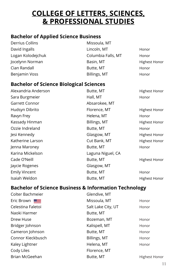## **COLLEGE OF LETTERS, SCIENCES, & PROFESSIONAL STUDIES**

## **Bachelor of Applied Science Business**

| Derrius Collins   | Missoula, MT       |                      |
|-------------------|--------------------|----------------------|
| David Ingalls     | Lincoln, MT        | Honor                |
| Logan Kolodejchuk | Columbia Falls, MT | Honor                |
| Jocelynn Norman   | Basin, MT          | <b>Highest Honor</b> |
| Cian Randall      | Butte, MT          | Honor                |
| Benjamin Voss     | Billings, MT       | Honor                |

## **Bachelor of Science Biological Sciences**

| Butte, MT         | Highest Honor |
|-------------------|---------------|
| Hall, MT          | Honor         |
| Absarokee, MT     |               |
| Florence, MT      | Highest Honor |
| Helena, MT        | Honor         |
| Billings, MT      | Highest Honor |
| Butte, MT         | Honor         |
| Glasgow, MT       | Highest Honor |
| Cut Bank, MT      | Highest Honor |
| Butte, MT         | Honor         |
| Laguna Niguel, CA |               |
| Butte, MT         | Highest Honor |
| Glasgow, MT       |               |
| Butte, MT         | Honor         |
| Butte, MT         | Highest Honor |
|                   |               |

## **Bachelor of Science Business & Information Technology**

| Colter Bachmeier  | Glendive, MT       |                      |
|-------------------|--------------------|----------------------|
| Eric Brown        | Missoula, MT       | Honor                |
| Celestina Faletoi | Salt Lake City, UT | Honor                |
| Naoki Harmer      | Butte, MT          |                      |
| Drew Huse         | Bozeman, MT        | Honor                |
| Bridger Johnson   | Kalispell, MT      | Honor                |
| Cameron Johnson   | Butte, MT          | Honor                |
| Connor Kieckbusch | Billings, MT       | Honor                |
| Kaley Lightner    | Helena, MT         | Honor                |
| Cody Liles        | Florence, MT       |                      |
| Brian McGeehan    | Butte, MT          | <b>Highest Honor</b> |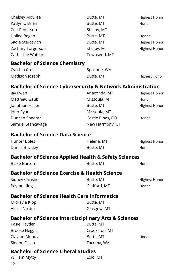| Chelsey McGree                                                        | Butte, MT        | <b>Highest Honor</b> |
|-----------------------------------------------------------------------|------------------|----------------------|
| Katlyn O'Brien                                                        | Butte, MT        | Honor                |
| Colt Pederson                                                         | Shelby, MT       |                      |
| Hailee Regan                                                          | Butte, MT        | Honor                |
| Sadie Starcevich                                                      | Butte, MT        | <b>Highest Honor</b> |
| Zachary Torgerson                                                     | Shelby, MT       | Highest Honor        |
| Catherine Watson                                                      | Townsend, MT     |                      |
| <b>Bachelor of Science Chemistry</b>                                  |                  |                      |
| Cynthia Cree                                                          | Spokane, WA      |                      |
| Madison Joseph                                                        | Butte, MT        | <b>Highest Honor</b> |
| <b>Bachelor of Science Cybersecurity &amp; Network Administration</b> |                  |                      |
| Jay Ewan                                                              | Anaconda, MT     | <b>Highest Honor</b> |
| Matthew Gaub                                                          | Missoula, MT     | Honor                |
| Jonathan Hillier                                                      | Butte, MT        | <b>Highest Honor</b> |
| John Ryan                                                             | Missoula, MT     |                      |
| Duncan Shearer                                                        | Castle Pines, CO | Honor                |
| Samuel Stancavage                                                     | New Harmony, UT  |                      |
|                                                                       |                  |                      |
| <b>Bachelor of Science Data Science</b>                               |                  |                      |
| <b>Hunter Boles</b>                                                   | Helena, MT       | <b>Highest Honor</b> |
| Daniel Buckley                                                        | Butte, MT        | Honor                |
| <b>Bachelor of Science Applied Health &amp; Safety Sciences</b>       |                  |                      |
| <b>Blake Burton</b>                                                   | Butte, MT        | Honor                |
| <b>Bachelor of Science Exercise &amp; Health Science</b>              |                  |                      |
| Sidney Christie                                                       | Butte, MT        | <b>Highest Honor</b> |
| Peytan King                                                           | Gildford, MT     | Honor                |
| <b>Bachelor of Science Health Care Informatics</b>                    |                  |                      |
| Mickayla Kipp                                                         | Butte, MT        |                      |
| Alexis Nixdorf                                                        | Glasgow, MT      |                      |
|                                                                       |                  |                      |
| <b>Bachelor of Science Interdisciplinary Arts &amp; Sciences</b>      | Butte, MT        |                      |
| Kasie Hayden                                                          |                  |                      |
| <b>Brooke Heggie</b>                                                  | Crookston, MT    |                      |
| Clayton Moody<br>Sindou Diallo                                        | Butte, MT        | Honor                |
|                                                                       | Tacoma, WA       |                      |
| <b>Bachelor of Science Liberal Studies</b>                            |                  |                      |
| William Mytty                                                         | Lolo, MT         |                      |
| 12                                                                    |                  |                      |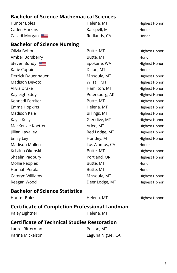## **Bachelor of Science Mathematical Sciences**

| Hunter Boles  | Helena, MT    | <b>Highest Honor</b> |
|---------------|---------------|----------------------|
| Caden Harkins | Kalispell, MT | Honor                |
| Casadi Morgan | Redlands, CA  | Honor                |

#### **Bachelor of Science Nursing**

Olivia Bolton **Butte, MT** Butte, MT Highest Honor Amber Borsberry **Butte, MT** Honor Steven Bundy Solid Spokane, WA Highest Honor Katie Coppin **Example 20** Company Dillon, MT **Honor** Derrick Dauenhauer Missoula, MT Highest Honor Madison Devoto **Milsall**, MT Highest Honor Alivia Drake **Hamilton, MT** Highest Honor Kayleigh Eddy **Petersburg, AK** Highest Honor Kennedi Ferriter Theory and Butte, MT Theory Highest Honor Emma Hopkins **Helena, MT** Highest Honor Madison Kale **Billings, MT** Highest Honor Kayla Kelly **Glendive, MT** Highest Honor MacKenzie Koetter **Arlee, MT** Arlee, MT Highest Honor Jillian LaValley **Red Lodge, MT** Highest Honor Emily Ley **Huntley, MT** Highest Honor Madison Mullen Los Alamos, CA Honor Kristina Okonski Butte, MT Highest Honor Shaelin Padbury **Portland, OR** Highest Honor Mollie Peoples **Butte, MT** Annor Honor Hannah Perala **Butte, MT** Honor Camryn Williams **Missoula, MT** Highest Honor Reagan Wood **Deer Lodge, MT** Highest Honor

#### **Bachelor of Science Statistics**

| Hunter Boles                                        | Helena, MT                                            | <b>Highest Honor</b> |
|-----------------------------------------------------|-------------------------------------------------------|----------------------|
|                                                     | <b>Certificate of Completion Professional Landman</b> |                      |
| Kaley Lightner                                      | Helena, MT                                            |                      |
| <b>Certificate of Technical Studies Restoration</b> |                                                       |                      |
| Laurel Bitterman                                    | Polson, MT                                            |                      |
| Karina Mickelson                                    | Laguna Niguel, CA                                     |                      |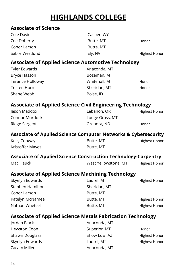## **HIGHLANDS COLLEGE**

#### **Associate of Science**

| Cole Davies    | Casper, WY |                      |
|----------------|------------|----------------------|
| Zoe Doherty    | Butte, MT  | Honor                |
| Conor Larson   | Butte, MT  |                      |
| Sabre Westlund | Elv. NV    | <b>Highest Honor</b> |

## **Associate of Applied Science Automotive Technology**

| Tyler Edwards    | Anaconda, MT  |       |
|------------------|---------------|-------|
| Bryce Hasson     | Bozeman, MT   |       |
| Terance Holloway | Whitehall, MT | Honor |
| Tristen Horn     | Sheridan, MT  | Honor |
| Shane Webb       | Boise, ID     |       |

## **Associate of Applied Science Civil Engineering Technology**

| Jason Maddox   | Lebanon, OR     | <b>Highest Honor</b> |
|----------------|-----------------|----------------------|
| Connor Murdock | Lodge Grass, MT |                      |
| Ridge Sargent  | Grenora, ND     | Honor                |

#### **Associate of Applied Science Computer Networks & Cybersecurity**

| Kelly Conway     | Butte, MT | Highest Honor |
|------------------|-----------|---------------|
| Kristoffer Mayes | Butte, MT |               |

#### **Associate of Applied Science Construction Technology-Carpentry**

|           |                      | ____ |               |  |
|-----------|----------------------|------|---------------|--|
| Mac Hauck | West Yellowstone, MT |      | Highest Honor |  |

## **Associate of Applied Science Machining Technology**

| Skyelyn Edwards  | Laurel, MT   | Highest Honor        |
|------------------|--------------|----------------------|
| Stephen Hamilton | Sheridan, MT |                      |
| Conor Larson     | Butte, MT    |                      |
| Katelyn McNamee  | Butte, MT    | <b>Highest Honor</b> |
| Nathan Whetsel   | Butte, MT    | <b>Highest Honor</b> |

## **Associate of Applied Science Metals Fabrication Technology**

| Jordan Black         | Anaconda, MT |                      |
|----------------------|--------------|----------------------|
| Hewston Coon         | Superior, MT | Honor                |
| Shawn Douglass       | Show Low, AZ | <b>Highest Honor</b> |
| Skyelyn Edwards      | Laurel, MT   | <b>Highest Honor</b> |
| <b>Zacary Miller</b> | Anaconda, MT |                      |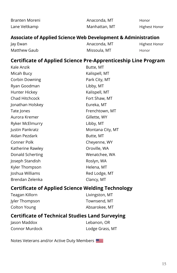| Branten Moreni | Anaconda, MT  | Honor         |
|----------------|---------------|---------------|
| Lane Veltkamp  | Manhattan, MT | Highest Honor |

#### **Associate of Applied Science Web Development & Administration**

| Jay Ewan     | Anaconda, MT | Highest Honor |
|--------------|--------------|---------------|
| Matthew Gaub | Missoula, MT | Honor         |

## **Certificate of Applied Science Pre-Apprenticeship Line Program**

| Kale Anzik       | Butte, MT        |
|------------------|------------------|
| Micah Bucy       | Kalispell, MT    |
| Corbin Downing   | Park City, MT    |
| Ryan Goodman     | Libby, MT        |
| Hunter Hickey    | Kalispell, MT    |
| Chad Hitchcock   | Fort Shaw, MT    |
| Jonathan Holskey | Eureka, MT       |
| Tate Jones       | Frenchtown, MT   |
| Aurora Kremer    | Gillette, WY     |
| Ryker McElmurry  | Libby, MT        |
| Justin Pankratz  | Montana City, MT |
| Aidan Pezdark    | Butte, MT        |
| Conner Polk      | Cheyenne, WY     |
| Katherine Rawley | Oroville, WA     |
| Donald Scherting | Wenatchee, WA    |
| Joseph Standish  | Roslyn, WA       |
| Kyler Thompson   | Helena, MT       |
| Joshua Williams  | Red Lodge, MT    |
| Brendan Zelenka  | Clancy, MT       |
|                  |                  |

## **Certificate of Applied Science Welding Technology**

| Teagan Killorn | Livingston, MT |
|----------------|----------------|
| Jyler Thompson | Townsend, MT   |
| Colton Young   | Absarokee, MT  |

## **Certificate of Technical Studies Land Surveying**

| Jason Maddox   | Lebanon, OR     |
|----------------|-----------------|
| Connor Murdock | Lodge Grass, MT |

Notes Veterans and/or Active Duty Members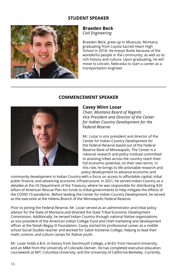#### **STUDENT SPEAKER**



#### **Braeden Beck** *Civil Engineering*

Braeden Beck, grew up in Missoula, Montana graduating from Loyola Sacred Heart High School in 2018. He enjoys Butte because of the wonderful people in the community, as well as its rich history and culture. Upon graduating, he will move to Lincoln, Nebraska to start a career as a transportation engineer.



#### **COMMENCEMENT SPEAKER**

#### **Casey Winn Lozar**

*Chair, Montana Board of Regents Vice President and Director of the Center for Indian Country Development for the Federal Reserve*

Mr. Lozar is vice president and director of the Center for Indian Country Development for the Federal Reserve based out of the Federal Reserve Bank of Minneapolis. The Center is a national research and policy institute committed to assisting tribes across the country reach their full economic potential, on their own terms. In this role, he brings to life actionable research and policy development to advance economic and

community development in Indian Country with a focus on access to affordable capital, tribal public finance, and advancing economic infrastructure. In 2021, he served Indian Country as a detailee at the US Department of the Treasury, where he was responsible for distributing \$20 billion of American Rescue Plan Act funds to tribal governments to help mitigate the effects of the COVID-19 pandemic. Before leading the Center for Indian Country Development, he served as the executive at the Helena Branch of the Minneapolis Federal Reserve.

Prior to joining the Federal Reserve, Mr. Lozar served as an administrator and tribal policy advisor for the State of Montana and directed the State Tribal Economic Development Commission. Additionally, he served Indian Country through national Native organizations as vice president of the American Indian College Fund and chief marketing and development officer at the Notah Begay III Foundation. Casey started his professional career as a middle school Social Studies teacher and worked for Salish Kootenai College, helping to lead their math, science, and culture camps for Native youth.

Mr. Lozar holds a B.A. in history from Dartmouth College, a M.Ed. from Harvard University, and an MBA from the University of Colorado-Denver. He has completed executive education coursework at MIT, Columbia University, and the University of California-Berkeley. Currently,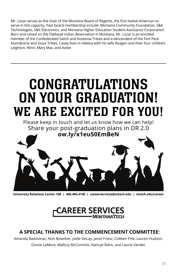Mr. Lozar serves as the chair of the Montana Board of Regents, the first Native American to serve in this capacity. Past board membership include: Montana Community Foundation, S&K Technologies, S&K Electronics, and Montana Higher Education Student Assistance Corporation. Born and raised on the Flathead Indian Reservation in Montana, Mr. Lozar is an enrolled member of the Confederated Salish and Kootenai Tribes and a descendent of the Fort Peck Assiniboine and Sioux Tribes. Casey lives in Helena with his wife Reagen and their four children: Leighton, Winn, Mary Mac, and Asher

# CONGRATULATIONS ON YOUR GRADUATION! WE ARE EXCITED FOR YOU!

Please keep in touch and let us know how we can help! Share your post-graduation plans in DR 2.0 **ow.ly/x1eu50EmBeN**

**University Relations Center 109 | 406.496.4140 | careerservices@mtech.edu | mtech.edu/career**

## **CAREER SERVICES** - MONTANATECH

## **A SPECIAL THANKS TO THE COMMENCEMENT COMMITTEE:**

Amanda Badovinac, Nick Bowsher, Jodie DeLay, Janet Friesz, Colleen Fink, Lauren Hudson, Ginnie LaMere, Mallory McCormick, Nancye Rahn, and Laurie Vandel.